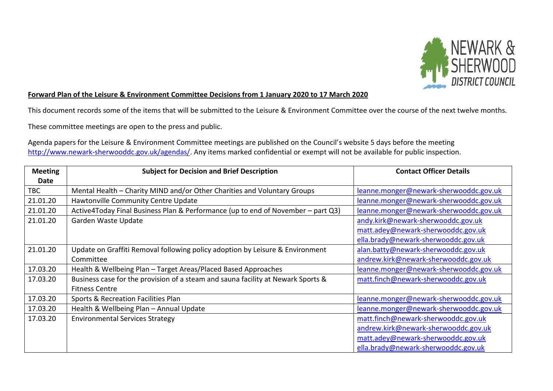

## **Forward Plan of the Leisure & Environment Committee Decisions from 1 January 2020 to 17 March 2020**

This document records some of the items that will be submitted to the Leisure & Environment Committee over the course of the next twelve months.

These committee meetings are open to the press and public.

Agenda papers for the Leisure & Environment Committee meetings are published on the Council's website 5 days before the meeting [http://www.newark-sherwooddc.gov.uk/agendas/.](http://www.newark-sherwooddc.gov.uk/agendas/) Any items marked confidential or exempt will not be available for public inspection.

| <b>Meeting</b> | <b>Subject for Decision and Brief Description</b>                                | <b>Contact Officer Details</b>         |
|----------------|----------------------------------------------------------------------------------|----------------------------------------|
| Date           |                                                                                  |                                        |
| <b>TBC</b>     | Mental Health – Charity MIND and/or Other Charities and Voluntary Groups         | leanne.monger@newark-sherwooddc.gov.uk |
| 21.01.20       | Hawtonville Community Centre Update                                              | leanne.monger@newark-sherwooddc.gov.uk |
| 21.01.20       | Active4Today Final Business Plan & Performance (up to end of November – part Q3) | leanne.monger@newark-sherwooddc.gov.uk |
| 21.01.20       | Garden Waste Update                                                              | andy.kirk@newark-sherwooddc.gov.uk     |
|                |                                                                                  | matt.adey@newark-sherwooddc.gov.uk     |
|                |                                                                                  | ella.brady@newark-sherwooddc.gov.uk    |
| 21.01.20       | Update on Graffiti Removal following policy adoption by Leisure & Environment    | alan.batty@newark-sherwooddc.gov.uk    |
|                | Committee                                                                        | andrew.kirk@newark-sherwooddc.gov.uk   |
| 17.03.20       | Health & Wellbeing Plan - Target Areas/Placed Based Approaches                   | leanne.monger@newark-sherwooddc.gov.uk |
| 17.03.20       | Business case for the provision of a steam and sauna facility at Newark Sports & | matt.finch@newark-sherwooddc.gov.uk    |
|                | <b>Fitness Centre</b>                                                            |                                        |
| 17.03.20       | Sports & Recreation Facilities Plan                                              | leanne.monger@newark-sherwooddc.gov.uk |
| 17.03.20       | Health & Wellbeing Plan - Annual Update                                          | leanne.monger@newark-sherwooddc.gov.uk |
| 17.03.20       | <b>Environmental Services Strategy</b>                                           | matt.finch@newark-sherwooddc.gov.uk    |
|                |                                                                                  | andrew.kirk@newark-sherwooddc.gov.uk   |
|                |                                                                                  | matt.adey@newark-sherwooddc.gov.uk     |
|                |                                                                                  | ella.brady@newark-sherwooddc.gov.uk    |